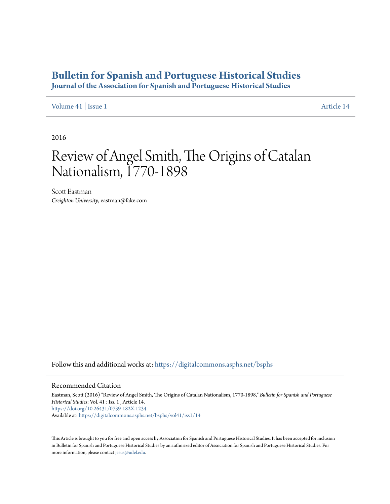## **[Bulletin for Spanish and Portuguese Historical Studies](https://digitalcommons.asphs.net/bsphs?utm_source=digitalcommons.asphs.net%2Fbsphs%2Fvol41%2Fiss1%2F14&utm_medium=PDF&utm_campaign=PDFCoverPages)**

**Journal of the Association for Spanish and Portuguese Historical Studies**

[Volume 41](https://digitalcommons.asphs.net/bsphs/vol41?utm_source=digitalcommons.asphs.net%2Fbsphs%2Fvol41%2Fiss1%2F14&utm_medium=PDF&utm_campaign=PDFCoverPages) | [Issue 1](https://digitalcommons.asphs.net/bsphs/vol41/iss1?utm_source=digitalcommons.asphs.net%2Fbsphs%2Fvol41%2Fiss1%2F14&utm_medium=PDF&utm_campaign=PDFCoverPages) [Article 14](https://digitalcommons.asphs.net/bsphs/vol41/iss1/14?utm_source=digitalcommons.asphs.net%2Fbsphs%2Fvol41%2Fiss1%2F14&utm_medium=PDF&utm_campaign=PDFCoverPages)

2016

## Review of Angel Smith, The Origins of Catalan Nationalism, I770-1898

Scott Eastman *Creighton University*, eastman@fake.com

Follow this and additional works at: [https://digitalcommons.asphs.net/bsphs](https://digitalcommons.asphs.net/bsphs?utm_source=digitalcommons.asphs.net%2Fbsphs%2Fvol41%2Fiss1%2F14&utm_medium=PDF&utm_campaign=PDFCoverPages)

## Recommended Citation

Eastman, Scott (2016) "Review of Angel Smith, The Origins of Catalan Nationalism, 1770-1898," *Bulletin for Spanish and Portuguese Historical Studies*: Vol. 41 : Iss. 1 , Article 14. <https://doi.org/10.26431/0739-182X.1234> Available at: [https://digitalcommons.asphs.net/bsphs/vol41/iss1/14](https://digitalcommons.asphs.net/bsphs/vol41/iss1/14?utm_source=digitalcommons.asphs.net%2Fbsphs%2Fvol41%2Fiss1%2F14&utm_medium=PDF&utm_campaign=PDFCoverPages)

This Article is brought to you for free and open access by Association for Spanish and Portuguese Historical Studies. It has been accepted for inclusion in Bulletin for Spanish and Portuguese Historical Studies by an authorized editor of Association for Spanish and Portuguese Historical Studies. For more information, please contact [jesus@udel.edu](mailto:jesus@udel.edu).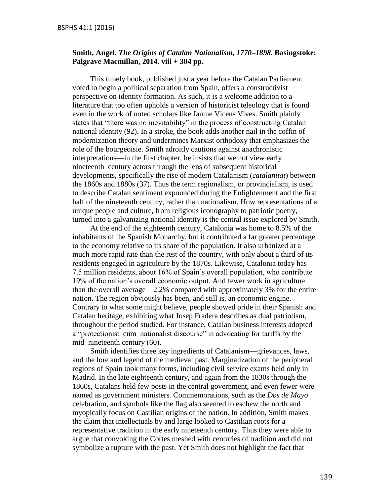## **Smith, Angel.** *The Origins of Catalan Nationalism, 1770–1898***. Basingstoke: Palgrave Macmillan, 2014. viii + 304 pp.**

This timely book, published just a year before the Catalan Parliament voted to begin a political separation from Spain, offers a constructivist perspective on identity formation. As such, it is a welcome addition to a literature that too often upholds a version of historicist teleology that is found even in the work of noted scholars like Jaume Vicens Vives. Smith plainly states that "there was no inevitability" in the process of constructing Catalan national identity (92). In a stroke, the book adds another nail in the coffin of modernization theory and undermines Marxist orthodoxy that emphasizes the role of the bourgeoisie. Smith adroitly cautions against anachronistic interpretations—in the first chapter, he insists that we not view early nineteenth–century actors through the lens of subsequent historical developments, specifically the rise of modern Catalanism (*catalanitat*) between the 1860s and 1880s (37). Thus the term regionalism, or provincialism, is used to describe Catalan sentiment expounded during the Enlightenment and the first half of the nineteenth century, rather than nationalism. How representations of a unique people and culture, from religious iconography to patriotic poetry, turned into a galvanizing national identity is the central issue explored by Smith.

At the end of the eighteenth century, Catalonia was home to 8.5% of the inhabitants of the Spanish Monarchy, but it contributed a far greater percentage to the economy relative to its share of the population. It also urbanized at a much more rapid rate than the rest of the country, with only about a third of its residents engaged in agriculture by the 1870s. Likewise, Catalonia today has 7.5 million residents, about 16% of Spain's overall population, who contribute 19% of the nation's overall economic output. And fewer work in agriculture than the overall average—2.2% compared with approximately 3% for the entire nation. The region obviously has been, and still is, an economic engine. Contrary to what some might believe, people showed pride in their Spanish and Catalan heritage, exhibiting what Josep Fradera describes as dual patriotism, throughout the period studied. For instance, Catalan business interests adopted a "protectionist–cum–nationalist discourse" in advocating for tariffs by the mid–nineteenth century (60).

Smith identifies three key ingredients of Catalanism—grievances, laws, and the lore and legend of the medieval past. Marginalization of the peripheral regions of Spain took many forms, including civil service exams held only in Madrid. In the late eighteenth century, and again from the 1830s through the 1860s, Catalans held few posts in the central government, and even fewer were named as government ministers. Commemorations, such as the *Dos de Mayo* celebration, and symbols like the flag also seemed to eschew the north and myopically focus on Castilian origins of the nation. In addition, Smith makes the claim that intellectuals by and large looked to Castilian roots for a representative tradition in the early nineteenth century. Thus they were able to argue that convoking the Cortes meshed with centuries of tradition and did not symbolize a rupture with the past. Yet Smith does not highlight the fact that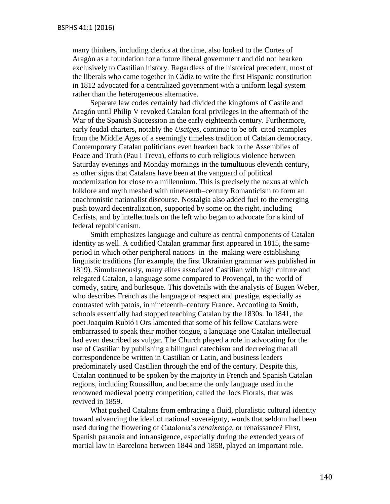many thinkers, including clerics at the time, also looked to the Cortes of Aragón as a foundation for a future liberal government and did not hearken exclusively to Castilian history. Regardless of the historical precedent, most of the liberals who came together in Cádiz to write the first Hispanic constitution in 1812 advocated for a centralized government with a uniform legal system rather than the heterogeneous alternative.

Separate law codes certainly had divided the kingdoms of Castile and Aragón until Philip V revoked Catalan foral privileges in the aftermath of the War of the Spanish Succession in the early eighteenth century. Furthermore, early feudal charters, notably the *Usatges*, continue to be oft–cited examples from the Middle Ages of a seemingly timeless tradition of Catalan democracy. Contemporary Catalan politicians even hearken back to the Assemblies of Peace and Truth (Pau i Treva), efforts to curb religious violence between Saturday evenings and Monday mornings in the tumultuous eleventh century, as other signs that Catalans have been at the vanguard of political modernization for close to a millennium. This is precisely the nexus at which folklore and myth meshed with nineteenth–century Romanticism to form an anachronistic nationalist discourse. Nostalgia also added fuel to the emerging push toward decentralization, supported by some on the right, including Carlists, and by intellectuals on the left who began to advocate for a kind of federal republicanism.

Smith emphasizes language and culture as central components of Catalan identity as well. A codified Catalan grammar first appeared in 1815, the same period in which other peripheral nations–in–the–making were establishing linguistic traditions (for example, the first Ukrainian grammar was published in 1819). Simultaneously, many elites associated Castilian with high culture and relegated Catalan, a language some compared to Provençal, to the world of comedy, satire, and burlesque. This dovetails with the analysis of Eugen Weber, who describes French as the language of respect and prestige, especially as contrasted with patois, in nineteenth–century France. According to Smith, schools essentially had stopped teaching Catalan by the 1830s. In 1841, the poet Joaquim Rubió i Ors lamented that some of his fellow Catalans were embarrassed to speak their mother tongue, a language one Catalan intellectual had even described as vulgar. The Church played a role in advocating for the use of Castilian by publishing a bilingual catechism and decreeing that all correspondence be written in Castilian or Latin, and business leaders predominately used Castilian through the end of the century. Despite this, Catalan continued to be spoken by the majority in French and Spanish Catalan regions, including Roussillon, and became the only language used in the renowned medieval poetry competition, called the Jocs Florals, that was revived in 1859.

What pushed Catalans from embracing a fluid, pluralistic cultural identity toward advancing the ideal of national sovereignty, words that seldom had been used during the flowering of Catalonia's *renaixença*, or renaissance? First, Spanish paranoia and intransigence, especially during the extended years of martial law in Barcelona between 1844 and 1858, played an important role.